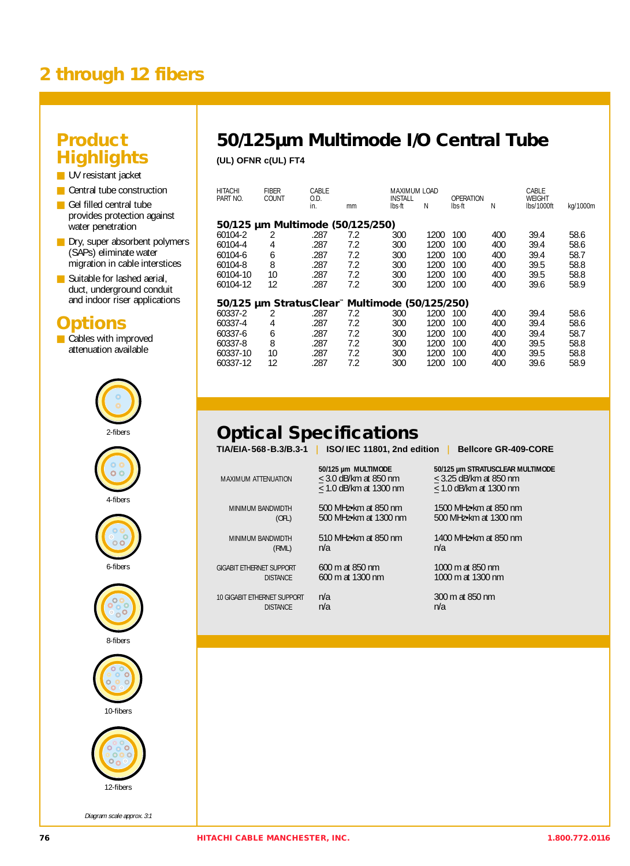## **2 through 12 fibers**

#### **Product Highlights**

- UV resistant jacket
- Central tube construction
- Gel filled central tube provides protection against water penetration
- Dry, super absorbent polymers (SAPs) eliminate water migration in cable interstices
- Suitable for lashed aerial, duct, underground conduit and indoor riser applications

#### **Options**

■ Cables with improved attenuation available



Diagram scale approx. 3:1

## **50/125µm Multimode I/O Central Tube**

**(UL) OFNR c(UL) FT4**

| HITACHI<br>PART NO.              | <b>FIBER</b><br>COUNT | CABLE<br>O.D. |     | <b>INSTALL</b>                                 | MAXIMUM LOAD |        | <b>OPERATION</b> |                      |          |
|----------------------------------|-----------------------|---------------|-----|------------------------------------------------|--------------|--------|------------------|----------------------|----------|
|                                  |                       | in.           | mm  | lbs ft                                         | Ν            | lbs ft | N                | WEIGHT<br>lbs/1000ft | kg/1000m |
| 50/125 µm Multimode (50/125/250) |                       |               |     |                                                |              |        |                  |                      |          |
| 60104-2                          | 2                     | .287          | 7.2 | 300                                            | 1200         | 100    | 400              | 39.4                 | 58.6     |
| 60104-4                          | 4                     | .287          | 7.2 | 300                                            | 1200         | 100    | 400              | 39.4                 | 58.6     |
| 60104-6                          | 6                     | .287          | 7.2 | 300                                            | 1200         | 100    | 400              | 39.4                 | 58.7     |
| 60104-8                          | 8                     | .287          | 7.2 | 300                                            | 1200         | 100    | 400              | 39.5                 | 58.8     |
| 60104-10                         | 10                    | .287          | 7.2 | 300                                            | 1200         | 100    | 400              | 39.5                 | 58.8     |
| 60104-12                         | 12                    | .287          | 7.2 | 300                                            | 1200         | 100    | 400              | 39.6                 | 58.9     |
|                                  |                       |               |     | 50/125 µm StratusClear" Multimode (50/125/250) |              |        |                  |                      |          |
| 60337-2                          | 2                     | .287          | 7.2 | 300                                            | 1200         | 100    | 400              | 39.4                 | 58.6     |
| 60337-4                          | 4                     | .287          | 7.2 | 300                                            | 1200         | 100    | 400              | 39.4                 | 58.6     |
| 60337-6                          | 6                     | .287          | 7.2 | 300                                            | 1200         | 100    | 400              | 39.4                 | 58.7     |
| 60337-8                          | 8                     | .287          | 7.2 | 300                                            | 1200         | 100    | 400              | 39.5                 | 58.8     |
| 60337-10                         | 10                    | .287          | 7.2 | 300                                            | 1200         | 100    | 400              | 39.5                 | 58.8     |
| 60337-12                         | 12                    | .287          | 7.2 | 300                                            | 1200         | 100    | 400              | 39.6                 | 58.9     |

# **Optical Specifications**

**TIA/EIA-568-B.3/B.3-1** I **ISO/ IEC 11801, 2nd edition** I **Bellcore GR-409-CORE**

MINIMUM BANDWIDTH 500 MHz•km at 850 nm 1500 MHz•km at 850 nm<br>1500 MHz•km at 1300 nm 500 MHz•km at 1300 nm (OFL) 500 MHz•km at 1300 nm 500 MHz•km at 1300 nm

 $\leq$  1.0 dB/km at 1300 nm

 $(NML)$   $n/a$ 

10 GIGABIT ETHERNET SUPPORT n/a 300 m at 850 nm **DISTANCE** 

MAXIMUM ATTENUATION  $\leq 3.0$  dB/km at 850 nm  $\leq 1.0$  dB/km at 1300 nm  $\leq 1.0$  dB/km at 1300 nm

**50/125 µm MULTIMODE 50/125 µm STRATUSCLEAR MULTIMODE**

MINIMUM BANDWIDTH 510 MHz•km at 850 nm 1400 MHz•km at 850 nm

GIGABIT ETHERNET SUPPORT 600 m at 850 nm 1000 m at 850 nm<br>DISTANCE 600 m at 1300 nm 1000 m at 1300 nm 1000 m at 1300 nm